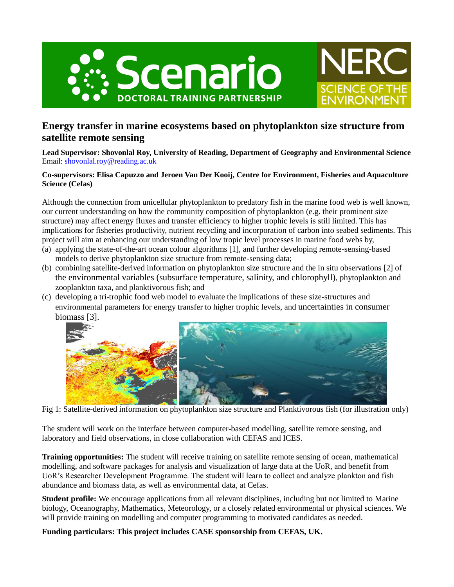



## **Energy transfer in marine ecosystems based on phytoplankton size structure from satellite remote sensing**

**Lead Supervisor: Shovonlal Roy, University of Reading, Department of Geography and Environmental Science** Email: [shovonlal.roy@reading.ac.uk](mailto:shovonlal.roy@reading.ac.uk)

## **Co-supervisors: Elisa Capuzzo and Jeroen Van Der Kooij, Centre for Environment, Fisheries and Aquaculture Science (Cefas)**

Although the connection from unicellular phytoplankton to predatory fish in the marine food web is well known, our current understanding on how the community composition of phytoplankton (e.g. their prominent size structure) may affect energy fluxes and transfer efficiency to higher trophic levels is still limited. This has implications for fisheries productivity, nutrient recycling and incorporation of carbon into seabed sediments. This project will aim at enhancing our understanding of low tropic level processes in marine food webs by,

- (a) applying the state-of-the-art ocean colour algorithms [1], and further developing remote-sensing-based models to derive phytoplankton size structure from remote-sensing data;
- (b) combining satellite-derived information on phytoplankton size structure and the in situ observations [2] of the environmental variables (subsurface temperature, salinity, and chlorophyll), phytoplankton and zooplankton taxa, and planktivorous fish; and
- (c) developing a tri-trophic food web model to evaluate the implications of these size-structures and environmental parameters for energy transfer to higher trophic levels, and uncertainties in consumer biomass [3].



Fig 1: Satellite-derived information on phytoplankton size structure and Planktivorous fish (for illustration only)

The student will work on the interface between computer-based modelling, satellite remote sensing, and laboratory and field observations, in close collaboration with CEFAS and ICES.

**Training opportunities:** The student will receive training on satellite remote sensing of ocean, mathematical modelling, and software packages for analysis and visualization of large data at the UoR, and benefit from UoR's Researcher Development Programme. The student will learn to collect and analyze plankton and fish abundance and biomass data, as well as environmental data, at Cefas.

**Student profile:** We encourage applications from all relevant disciplines, including but not limited to Marine biology, Oceanography, Mathematics, Meteorology, or a closely related environmental or physical sciences. We will provide training on modelling and computer programming to motivated candidates as needed.

**Funding particulars: This project includes CASE sponsorship from CEFAS, UK.**